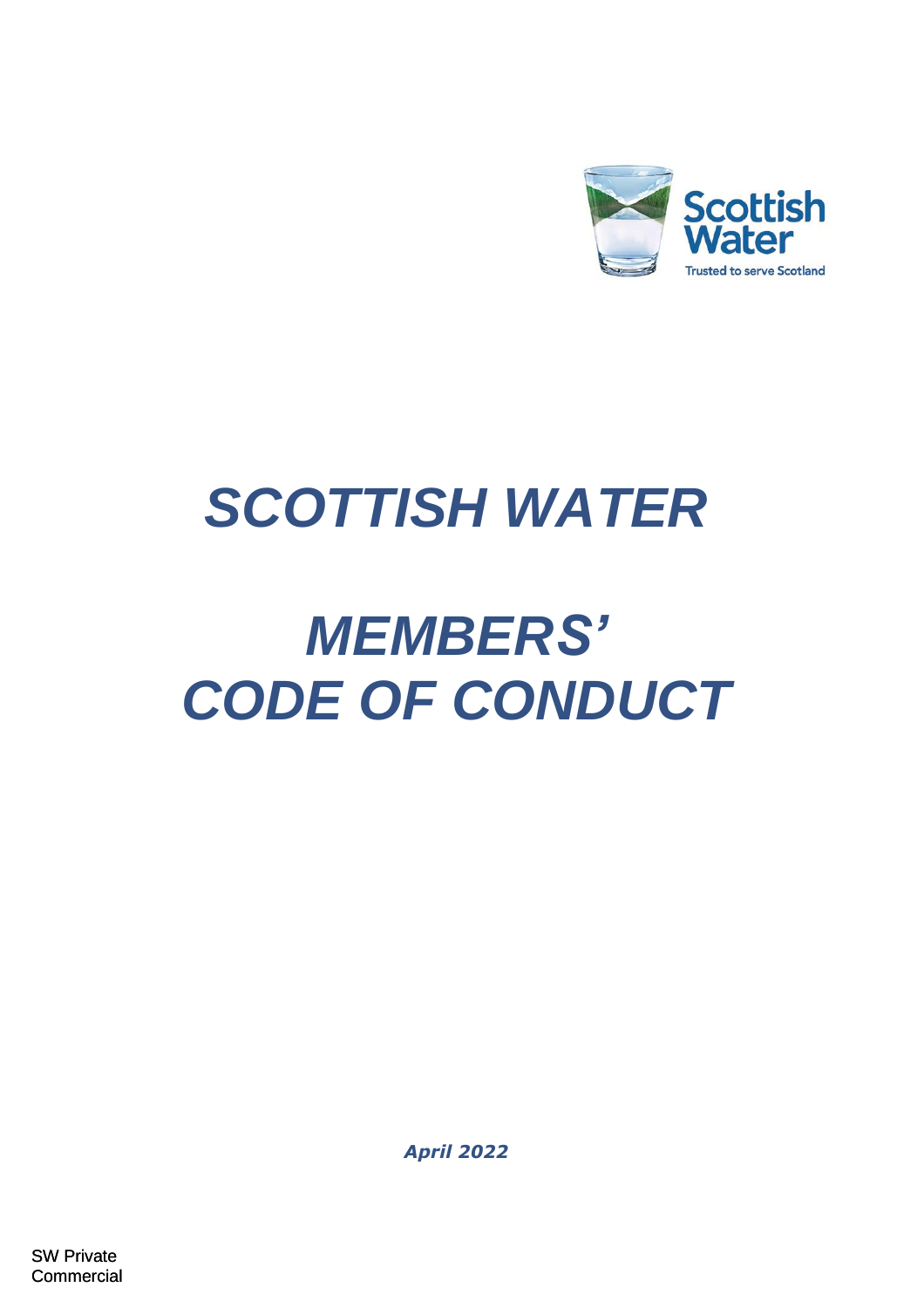

# *SCOTTISH WATER*

# *MEMBERS' CODE OF CONDUCT*

*April 2022*

SW Private **Commercial**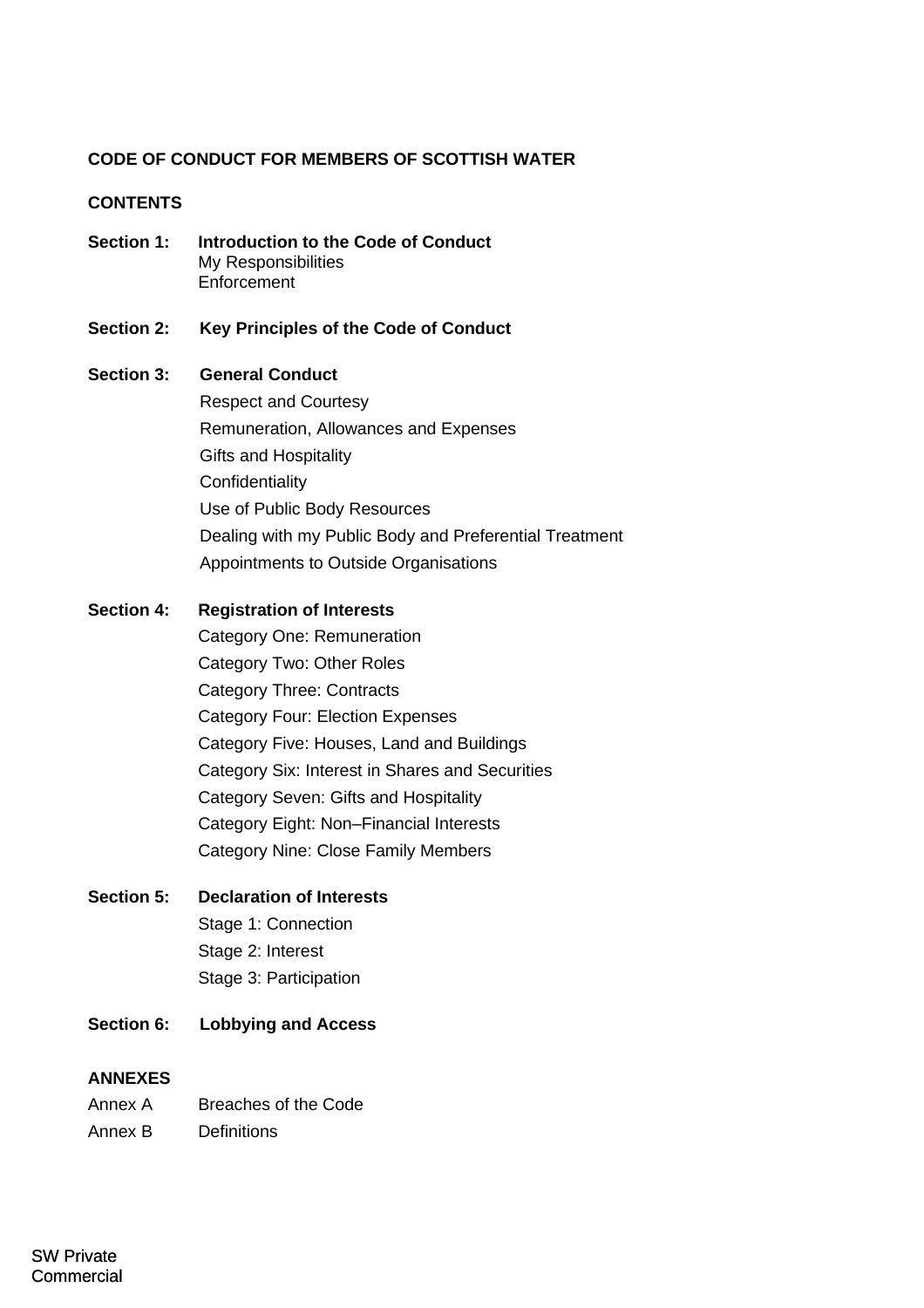## **CODE OF CONDUCT FOR MEMBERS OF SCOTTISH WATER**

## **CONTENTS**

- **Section 1: Introduction to the Code of Conduct** [My Responsibilities](#page-1-0) **[Enforcement](#page-2-0)**
- **Section 2: [Key Principles of the](#page-4-0) Code of Conduct**

## **Section 3: General Conduct**

[Respect and Courtesy](#page-6-0) [Remuneration, Allowances and Expenses](#page-7-0) Gifts and Hospitality **[Confidentiality](#page-10-0)** [Use of Public Body Resources](#page-10-1) [Dealing with my Public Body and Preferential Treatment](#page-10-1) [Appointments to Outside Organisations](#page-10-1)

## **Section 4: Registration of Interests**

[Category One: Remuneration](#page-14-0) Category Two: Other Roles Category Three: Contracts Category Four: Election Expenses Category Five: Houses, Land and Buildings Category Six: Interest in Shares and Securities Category Seven: Gifts and Hospitality Category Eight: Non–Financial Interests Category Nine: Close Family Members

# **Section 5: Declaration of Interests**

Stage 1: Connection Stage 2: Interest Stage 3: Participation

**Section 6: Lobbying and Access**

## **ANNEXES**

| Annex A            | Breaches of the Code |
|--------------------|----------------------|
| $\Lambda$ $\Gamma$ | n - C - H - - -      |

<span id="page-1-0"></span>Annex B [Definitions](#page-14-0)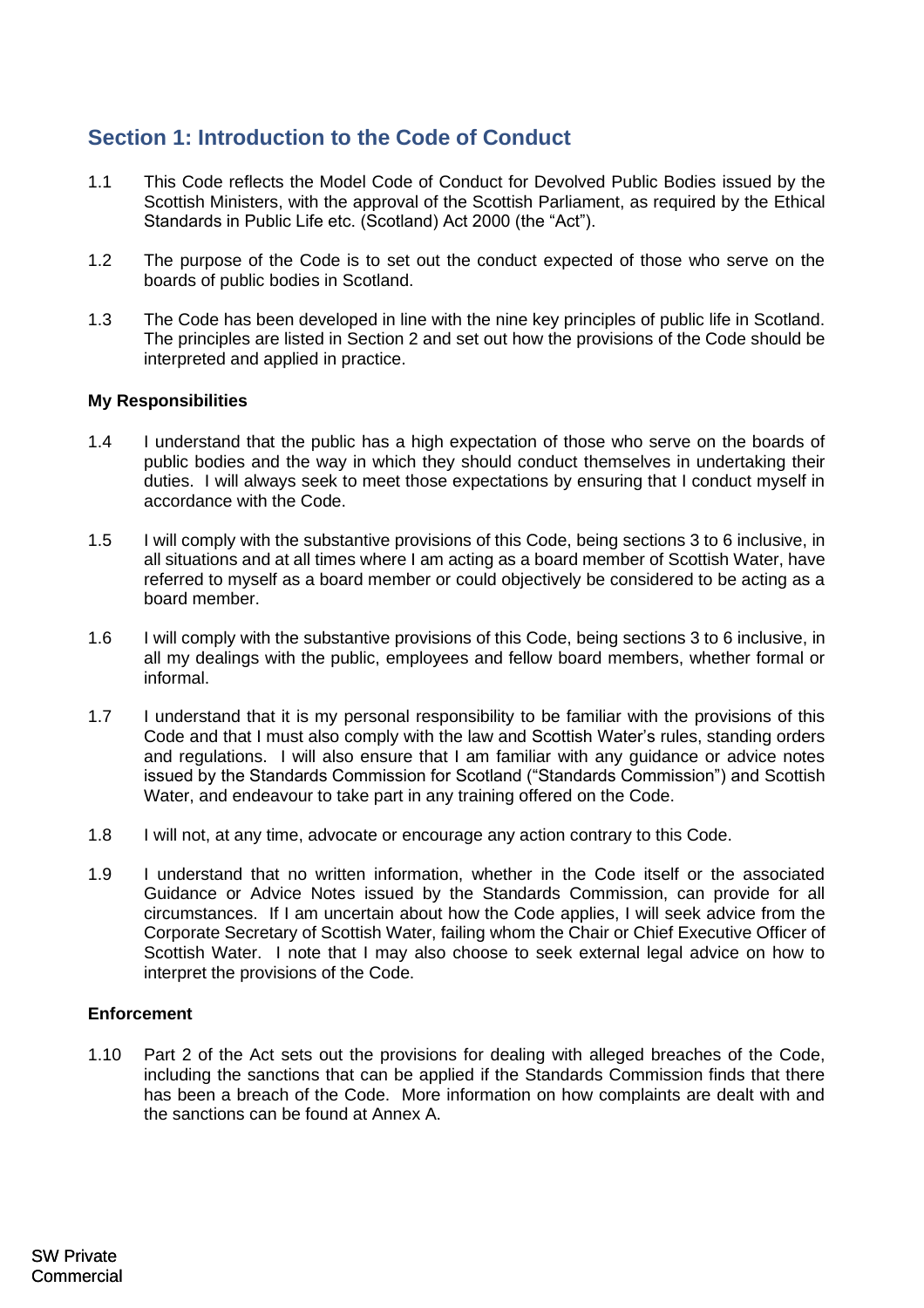# **Section 1: Introduction to the Code of Conduct**

- 1.1 This Code reflects the Model Code of Conduct for Devolved Public Bodies issued by the Scottish Ministers, with the approval of the Scottish Parliament, as required by the Ethical Standards in Public Life etc. (Scotland) Act 2000 (the "Act").
- 1.2 The purpose of the Code is to set out the conduct expected of those who serve on the boards of public bodies in Scotland.
- 1.3 The Code has been developed in line with the nine key principles of public life in Scotland. The principles are listed in Section 2 and set out how the provisions of the Code should be interpreted and applied in practice.

## **My Responsibilities**

- 1.4 I understand that the public has a high expectation of those who serve on the boards of public bodies and the way in which they should conduct themselves in undertaking their duties. I will always seek to meet those expectations by ensuring that I conduct myself in accordance with the Code.
- 1.5 I will comply with the substantive provisions of this Code, being sections 3 to 6 inclusive, in all situations and at all times where I am acting as a board member of Scottish Water, have referred to myself as a board member or could objectively be considered to be acting as a board member.
- <span id="page-2-0"></span>1.6 I will comply with the substantive provisions of this Code, being sections 3 to 6 inclusive, in all my dealings with the public, employees and fellow board members, whether formal or informal.
- 1.7 I understand that it is my personal responsibility to be familiar with the provisions of this Code and that I must also comply with the law and Scottish Water's rules, standing orders and regulations. I will also ensure that I am familiar with any guidance or advice notes issued by the Standards Commission for Scotland ("Standards Commission") and Scottish Water, and endeavour to take part in any training offered on the Code.
- 1.8 I will not, at any time, advocate or encourage any action contrary to this Code.
- 1.9 I understand that no written information, whether in the Code itself or the associated Guidance or Advice Notes issued by the Standards Commission, can provide for all circumstances. If I am uncertain about how the Code applies, I will seek advice from the Corporate Secretary of Scottish Water, failing whom the Chair or Chief Executive Officer of Scottish Water. I note that I may also choose to seek external legal advice on how to interpret the provisions of the Code.

## **Enforcement**

1.10 Part 2 of the Act sets out the provisions for dealing with alleged breaches of the Code, including the sanctions that can be applied if the Standards Commission finds that there has been a breach of the Code. More information on how complaints are dealt with and the sanctions can be found at Annex A.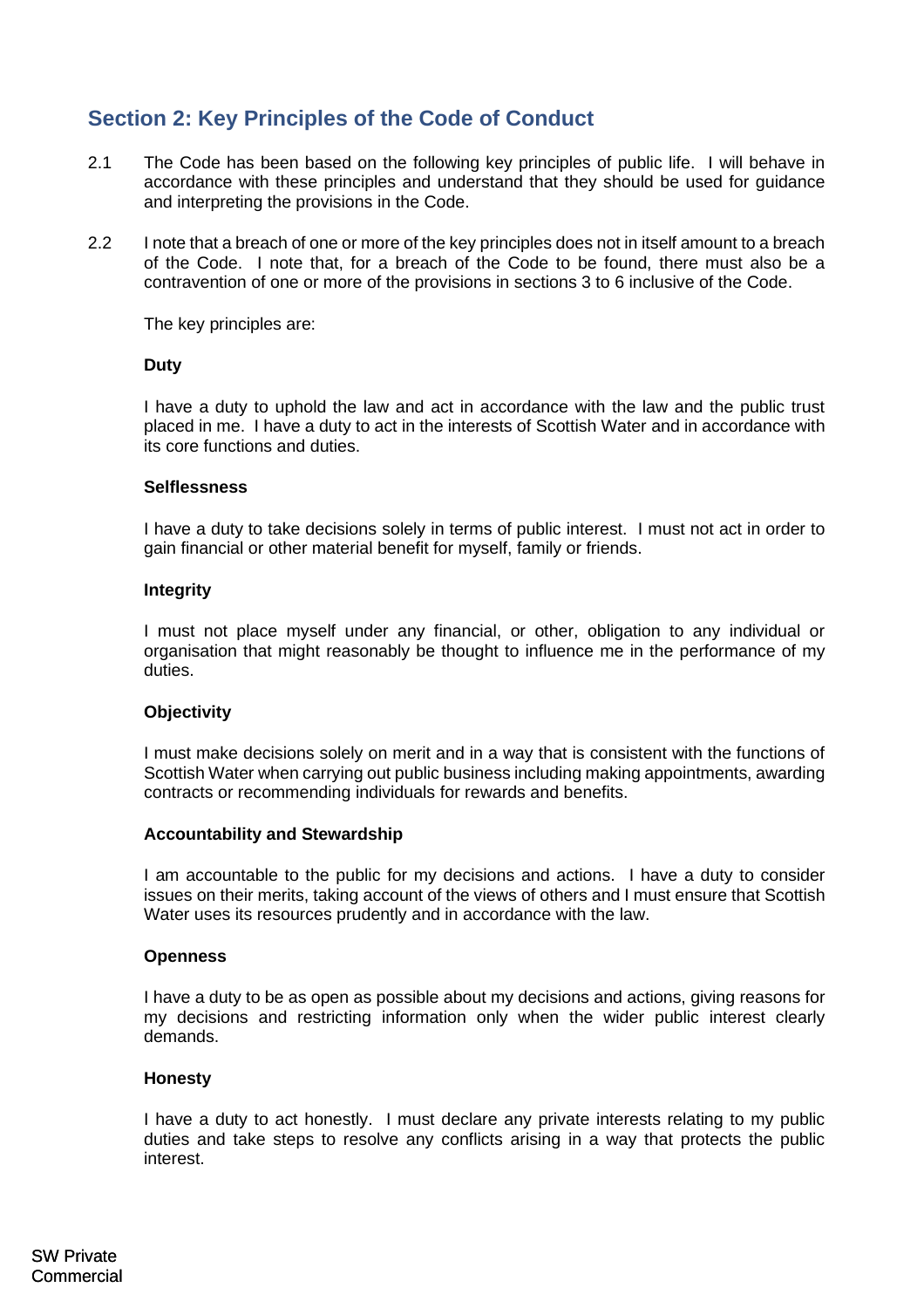# **Section 2: Key Principles of the Code of Conduct**

- 2.1 The Code has been based on the following key principles of public life. I will behave in accordance with these principles and understand that they should be used for guidance and interpreting the provisions in the Code.
- 2.2 I note that a breach of one or more of the key principles does not in itself amount to a breach of the Code. I note that, for a breach of the Code to be found, there must also be a contravention of one or more of the provisions in sections 3 to 6 inclusive of the Code.

The key principles are:

## **Duty**

I have a duty to uphold the law and act in accordance with the law and the public trust placed in me. I have a duty to act in the interests of Scottish Water and in accordance with its core functions and duties.

## **Selflessness**

I have a duty to take decisions solely in terms of public interest. I must not act in order to gain financial or other material benefit for myself, family or friends.

## **Integrity**

I must not place myself under any financial, or other, obligation to any individual or organisation that might reasonably be thought to influence me in the performance of my duties.

### **Objectivity**

I must make decisions solely on merit and in a way that is consistent with the functions of Scottish Water when carrying out public business including making appointments, awarding contracts or recommending individuals for rewards and benefits.

### **Accountability and Stewardship**

I am accountable to the public for my decisions and actions. I have a duty to consider issues on their merits, taking account of the views of others and I must ensure that Scottish Water uses its resources prudently and in accordance with the law.

## **Openness**

I have a duty to be as open as possible about my decisions and actions, giving reasons for my decisions and restricting information only when the wider public interest clearly demands.

## **Honesty**

I have a duty to act honestly. I must declare any private interests relating to my public duties and take steps to resolve any conflicts arising in a way that protects the public interest.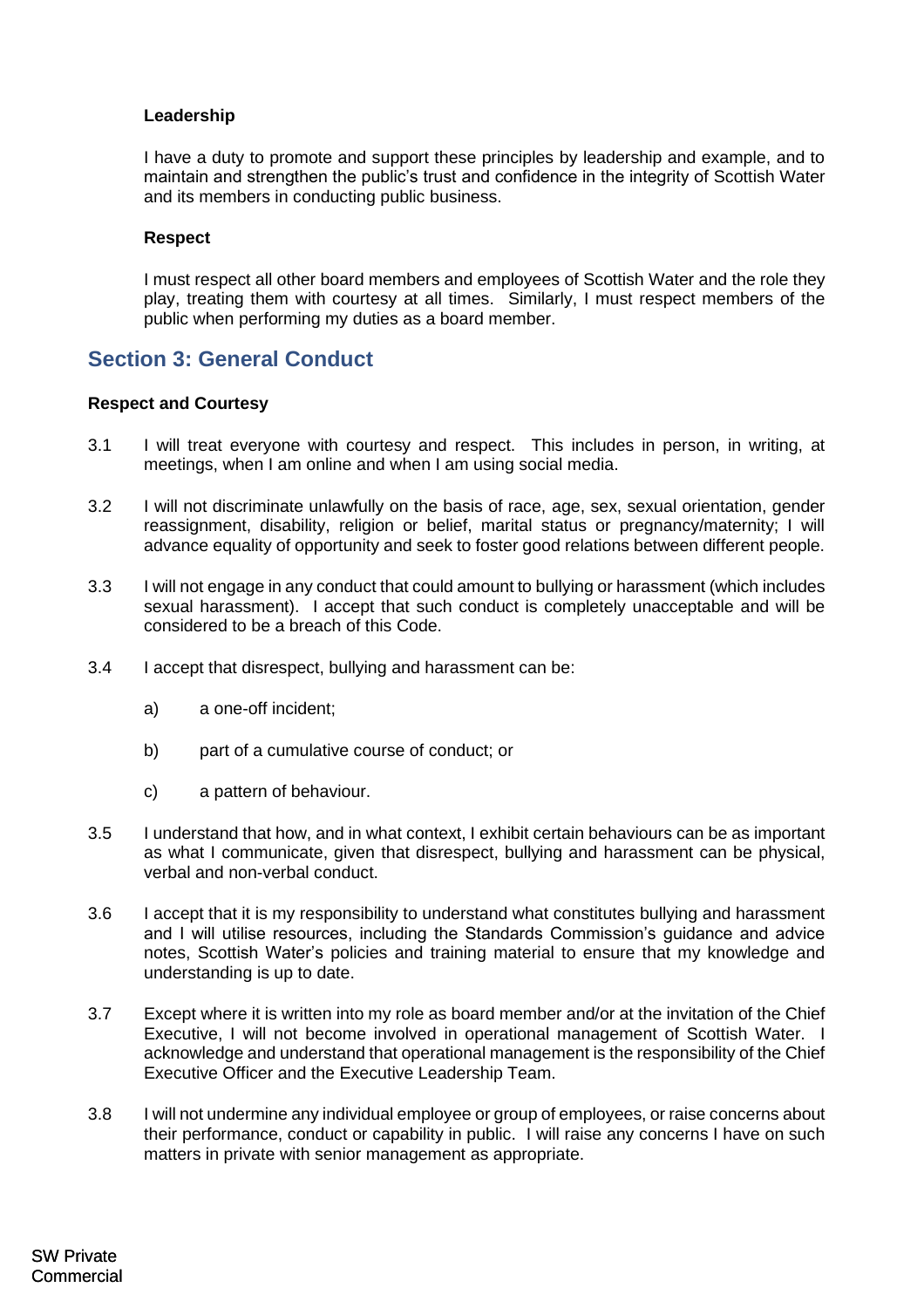## **Leadership**

I have a duty to promote and support these principles by leadership and example, and to maintain and strengthen the public's trust and confidence in the integrity of Scottish Water and its members in conducting public business.

## <span id="page-4-0"></span>**Respect**

I must respect all other board members and employees of Scottish Water and the role they play, treating them with courtesy at all times. Similarly, I must respect members of the public when performing my duties as a board member.

# **Section 3: General Conduct**

## **Respect and Courtesy**

- 3.1 I will treat everyone with courtesy and respect. This includes in person, in writing, at meetings, when I am online and when I am using social media.
- 3.2 I will not discriminate unlawfully on the basis of race, age, sex, sexual orientation, gender reassignment, disability, religion or belief, marital status or pregnancy/maternity; I will advance equality of opportunity and seek to foster good relations between different people.
- 3.3 I will not engage in any conduct that could amount to bullying or harassment (which includes sexual harassment). I accept that such conduct is completely unacceptable and will be considered to be a breach of this Code.
- 3.4 I accept that disrespect, bullying and harassment can be:
	- a) a one-off incident;
	- b) part of a cumulative course of conduct; or
	- c) a pattern of behaviour.
- 3.5 I understand that how, and in what context, I exhibit certain behaviours can be as important as what I communicate, given that disrespect, bullying and harassment can be physical, verbal and non-verbal conduct.
- 3.6 I accept that it is my responsibility to understand what constitutes bullying and harassment and I will utilise resources, including the Standards Commission's guidance and advice notes, Scottish Water's policies and training material to ensure that my knowledge and understanding is up to date.
- 3.7 Except where it is written into my role as board member and/or at the invitation of the Chief Executive, I will not become involved in operational management of Scottish Water. I acknowledge and understand that operational management is the responsibility of the Chief Executive Officer and the Executive Leadership Team.
- 3.8 I will not undermine any individual employee or group of employees, or raise concerns about their performance, conduct or capability in public. I will raise any concerns I have on such matters in private with senior management as appropriate.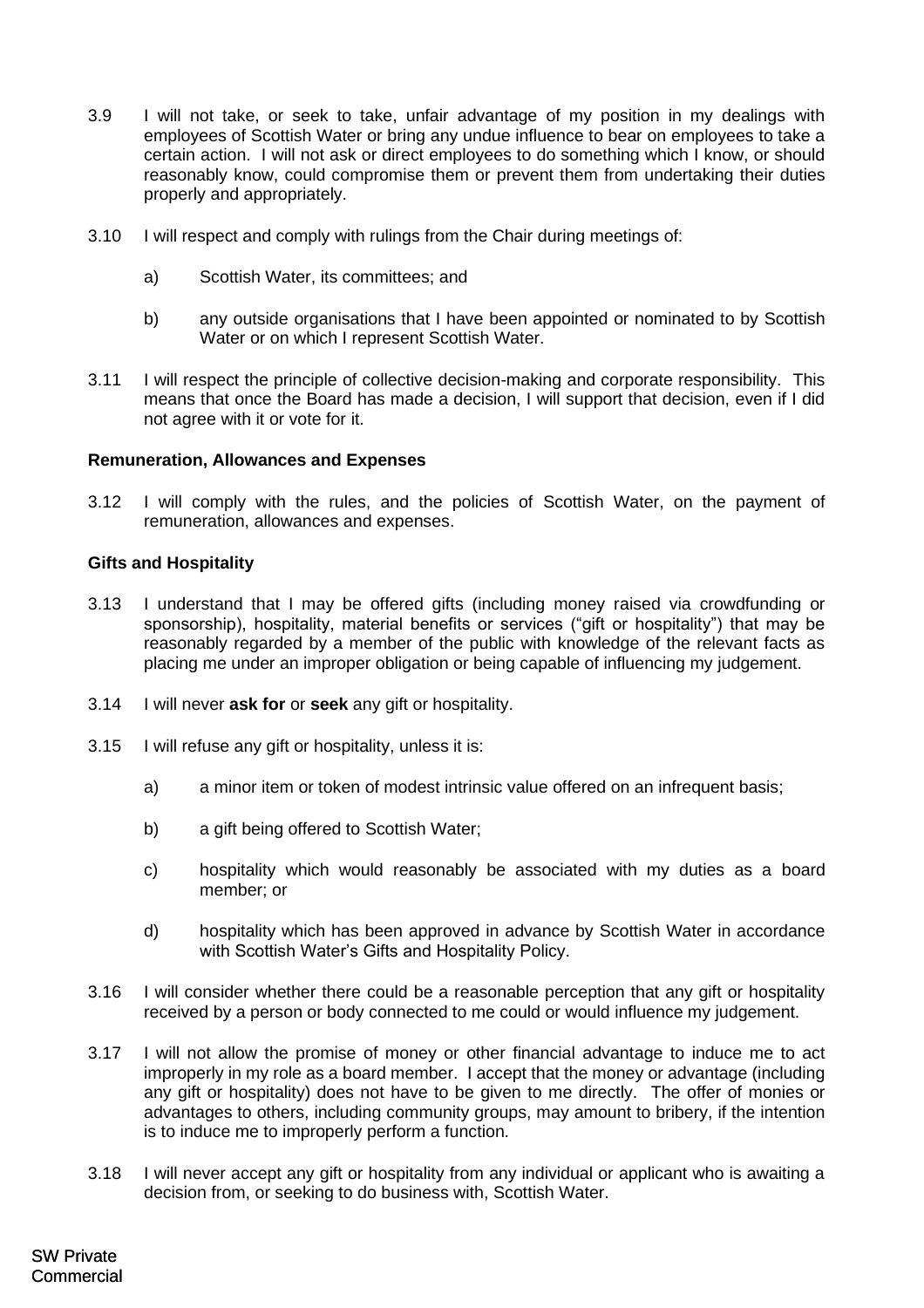- 3.9 I will not take, or seek to take, unfair advantage of my position in my dealings with employees of Scottish Water or bring any undue influence to bear on employees to take a certain action. I will not ask or direct employees to do something which I know, or should reasonably know, could compromise them or prevent them from undertaking their duties properly and appropriately.
- 3.10 I will respect and comply with rulings from the Chair during meetings of:
	- a) Scottish Water, its committees; and
	- b) any outside organisations that I have been appointed or nominated to by Scottish Water or on which I represent Scottish Water.
- 3.11 I will respect the principle of collective decision-making and corporate responsibility. This means that once the Board has made a decision, I will support that decision, even if I did not agree with it or vote for it.

## **Remuneration, Allowances and Expenses**

3.12 I will comply with the rules, and the policies of Scottish Water, on the payment of remuneration, allowances and expenses.

## **Gifts and Hospitality**

- 3.13 I understand that I may be offered gifts (including money raised via crowdfunding or sponsorship), hospitality, material benefits or services ("gift or hospitality") that may be reasonably regarded by a member of the public with knowledge of the relevant facts as placing me under an improper obligation or being capable of influencing my judgement.
- 3.14 I will never **ask for** or **seek** any gift or hospitality.
- 3.15 I will refuse any gift or hospitality, unless it is:
	- a) a minor item or token of modest intrinsic value offered on an infrequent basis;
	- b) a gift being offered to Scottish Water;
	- c) hospitality which would reasonably be associated with my duties as a board member; or
	- d) hospitality which has been approved in advance by Scottish Water in accordance with Scottish Water's Gifts and Hospitality Policy.
- 3.16 I will consider whether there could be a reasonable perception that any gift or hospitality received by a person or body connected to me could or would influence my judgement.
- 3.17 I will not allow the promise of money or other financial advantage to induce me to act improperly in my role as a board member. I accept that the money or advantage (including any gift or hospitality) does not have to be given to me directly. The offer of monies or advantages to others, including community groups, may amount to bribery, if the intention is to induce me to improperly perform a function.
- 3.18 I will never accept any gift or hospitality from any individual or applicant who is awaiting a decision from, or seeking to do business with, Scottish Water.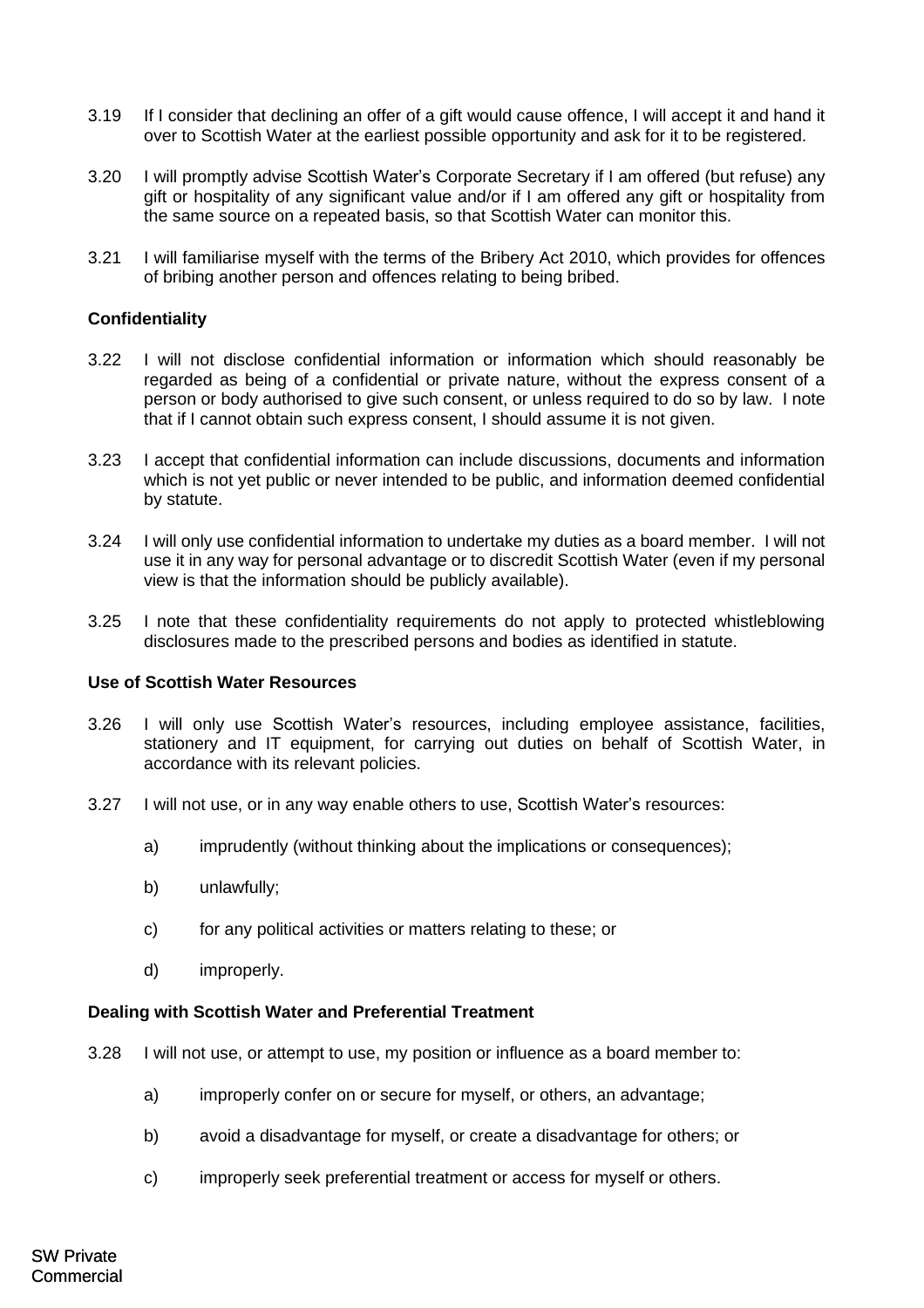- 3.19 If I consider that declining an offer of a gift would cause offence, I will accept it and hand it over to Scottish Water at the earliest possible opportunity and ask for it to be registered.
- 3.20 I will promptly advise Scottish Water's Corporate Secretary if I am offered (but refuse) any gift or hospitality of any significant value and/or if I am offered any gift or hospitality from the same source on a repeated basis, so that Scottish Water can monitor this.
- <span id="page-6-0"></span>3.21 I will familiarise myself with the terms of the Bribery Act 2010, which provides for offences of bribing another person and offences relating to being bribed.

## **Confidentiality**

- 3.22 I will not disclose confidential information or information which should reasonably be regarded as being of a confidential or private nature, without the express consent of a person or body authorised to give such consent, or unless required to do so by law. I note that if I cannot obtain such express consent, I should assume it is not given.
- 3.23 I accept that confidential information can include discussions, documents and information which is not yet public or never intended to be public, and information deemed confidential by statute.
- 3.24 I will only use confidential information to undertake my duties as a board member. I will not use it in any way for personal advantage or to discredit Scottish Water (even if my personal view is that the information should be publicly available).
- 3.25 I note that these confidentiality requirements do not apply to protected whistleblowing disclosures made to the prescribed persons and bodies as identified in statute.

### **Use of Scottish Water Resources**

- 3.26 I will only use Scottish Water's resources, including employee assistance, facilities, stationery and IT equipment, for carrying out duties on behalf of Scottish Water, in accordance with its relevant policies.
- 3.27 I will not use, or in any way enable others to use, Scottish Water's resources:
	- a) imprudently (without thinking about the implications or consequences);
	- b) unlawfully;
	- c) for any political activities or matters relating to these; or
	- d) improperly.

## **Dealing with Scottish Water and Preferential Treatment**

- 3.28 I will not use, or attempt to use, my position or influence as a board member to:
	- a) improperly confer on or secure for myself, or others, an advantage;
	- b) avoid a disadvantage for myself, or create a disadvantage for others; or
	- c) improperly seek preferential treatment or access for myself or others.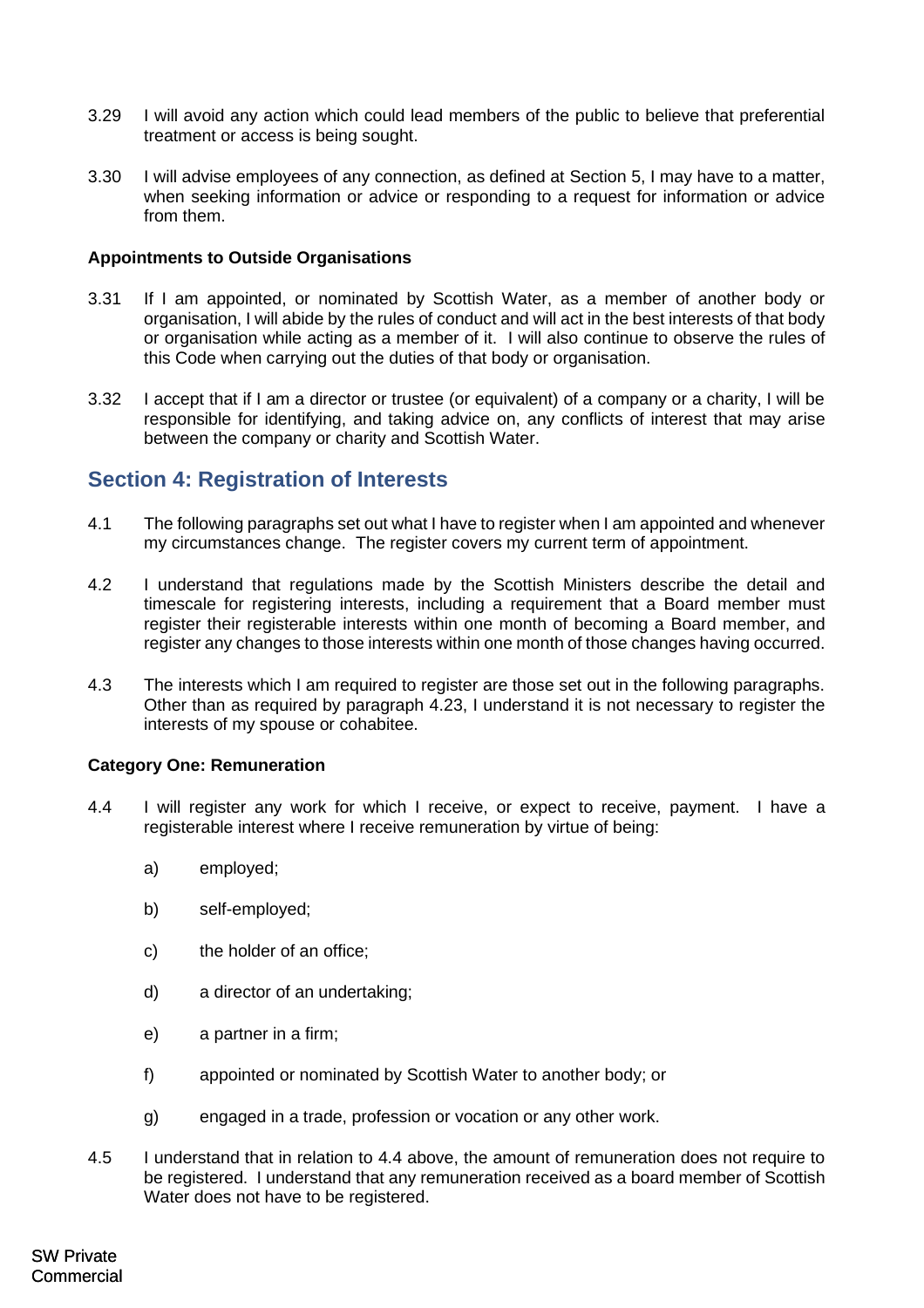- 3.29 I will avoid any action which could lead members of the public to believe that preferential treatment or access is being sought.
- 3.30 I will advise employees of any connection, as defined at Section 5, I may have to a matter, when seeking information or advice or responding to a request for information or advice from them.

## **Appointments to Outside Organisations**

- 3.31 If I am appointed, or nominated by Scottish Water, as a member of another body or organisation, I will abide by the rules of conduct and will act in the best interests of that body or organisation while acting as a member of it. I will also continue to observe the rules of this Code when carrying out the duties of that body or organisation.
- 3.32 I accept that if I am a director or trustee (or equivalent) of a company or a charity, I will be responsible for identifying, and taking advice on, any conflicts of interest that may arise between the company or charity and Scottish Water.

# <span id="page-7-0"></span>**Section 4: Registration of Interests**

- 4.1 The following paragraphs set out what I have to register when I am appointed and whenever my circumstances change. The register covers my current term of appointment.
- 4.2 I understand that regulations made by the Scottish Ministers describe the detail and timescale for registering interests, including a requirement that a Board member must register their registerable interests within one month of becoming a Board member, and register any changes to those interests within one month of those changes having occurred.
- 4.3 The interests which I am required to register are those set out in the following paragraphs. Other than as required by paragraph 4.23, I understand it is not necessary to register the interests of my spouse or cohabitee.

## **Category One: Remuneration**

- 4.4 I will register any work for which I receive, or expect to receive, payment. I have a registerable interest where I receive remuneration by virtue of being:
	- a) employed;
	- b) self-employed;
	- c) the holder of an office;
	- d) a director of an undertaking;
	- e) a partner in a firm;
	- f) appointed or nominated by Scottish Water to another body; or
	- g) engaged in a trade, profession or vocation or any other work.
- 4.5 I understand that in relation to 4.4 above, the amount of remuneration does not require to be registered. I understand that any remuneration received as a board member of Scottish Water does not have to be registered.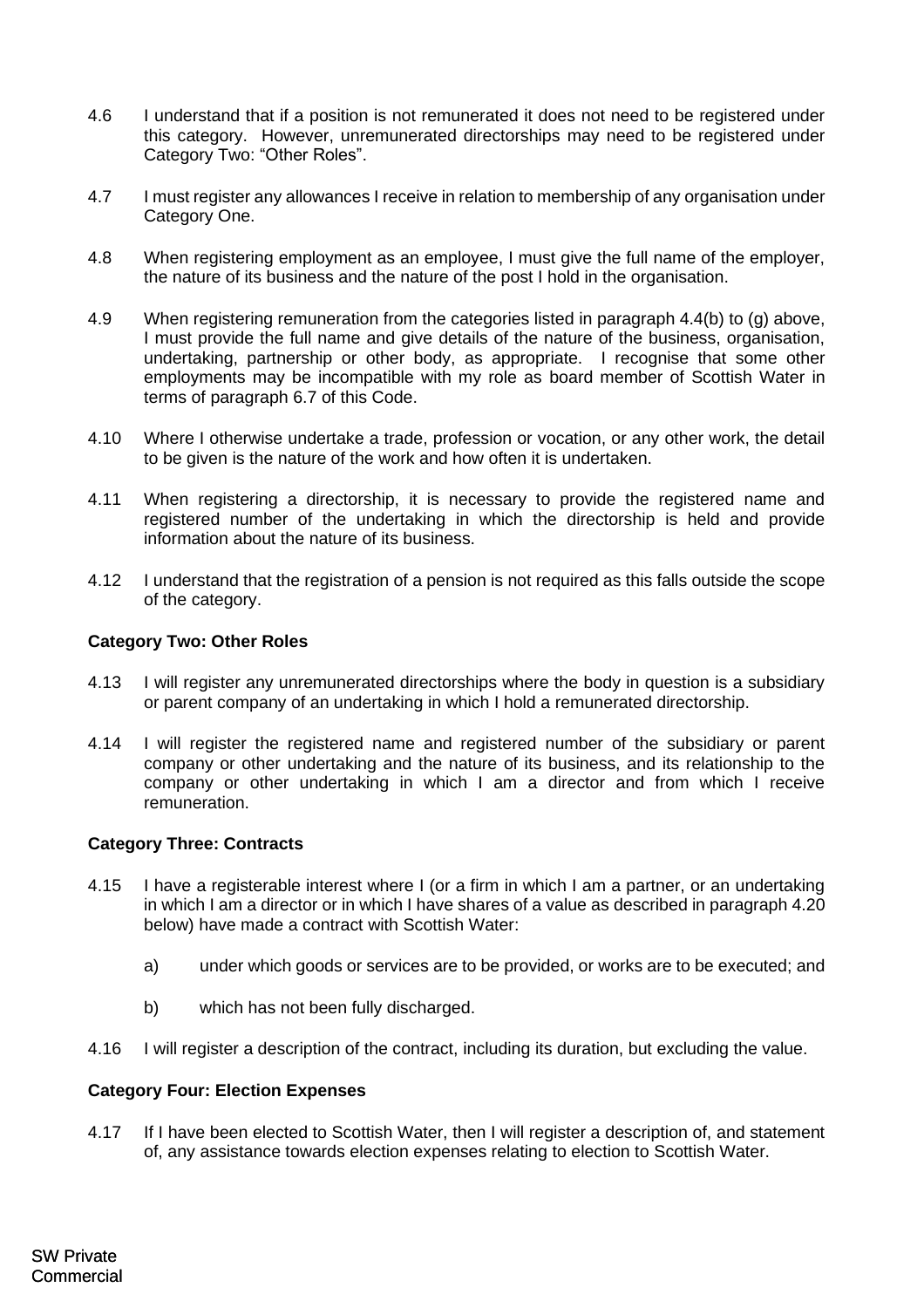- 4.6 I understand that if a position is not remunerated it does not need to be registered under this category. However, unremunerated directorships may need to be registered under Category Two: "Other Roles".
- 4.7 I must register any allowances I receive in relation to membership of any organisation under Category One.
- 4.8 When registering employment as an employee, I must give the full name of the employer, the nature of its business and the nature of the post I hold in the organisation.
- 4.9 When registering remuneration from the categories listed in paragraph 4.4(b) to (g) above, I must provide the full name and give details of the nature of the business, organisation, undertaking, partnership or other body, as appropriate. I recognise that some other employments may be incompatible with my role as board member of Scottish Water in terms of paragraph 6.7 of this Code.
- 4.10 Where I otherwise undertake a trade, profession or vocation, or any other work, the detail to be given is the nature of the work and how often it is undertaken.
- 4.11 When registering a directorship, it is necessary to provide the registered name and registered number of the undertaking in which the directorship is held and provide information about the nature of its business.
- 4.12 I understand that the registration of a pension is not required as this falls outside the scope of the category.

## **Category Two: Other Roles**

- 4.13 I will register any unremunerated directorships where the body in question is a subsidiary or parent company of an undertaking in which I hold a remunerated directorship.
- 4.14 I will register the registered name and registered number of the subsidiary or parent company or other undertaking and the nature of its business, and its relationship to the company or other undertaking in which I am a director and from which I receive remuneration.

### **Category Three: Contracts**

- 4.15 I have a registerable interest where I (or a firm in which I am a partner, or an undertaking in which I am a director or in which I have shares of a value as described in paragraph 4.20 below) have made a contract with Scottish Water:
	- a) under which goods or services are to be provided, or works are to be executed; and
	- b) which has not been fully discharged.
- 4.16 I will register a description of the contract, including its duration, but excluding the value.

### **Category Four: Election Expenses**

4.17 If I have been elected to Scottish Water, then I will register a description of, and statement of, any assistance towards election expenses relating to election to Scottish Water.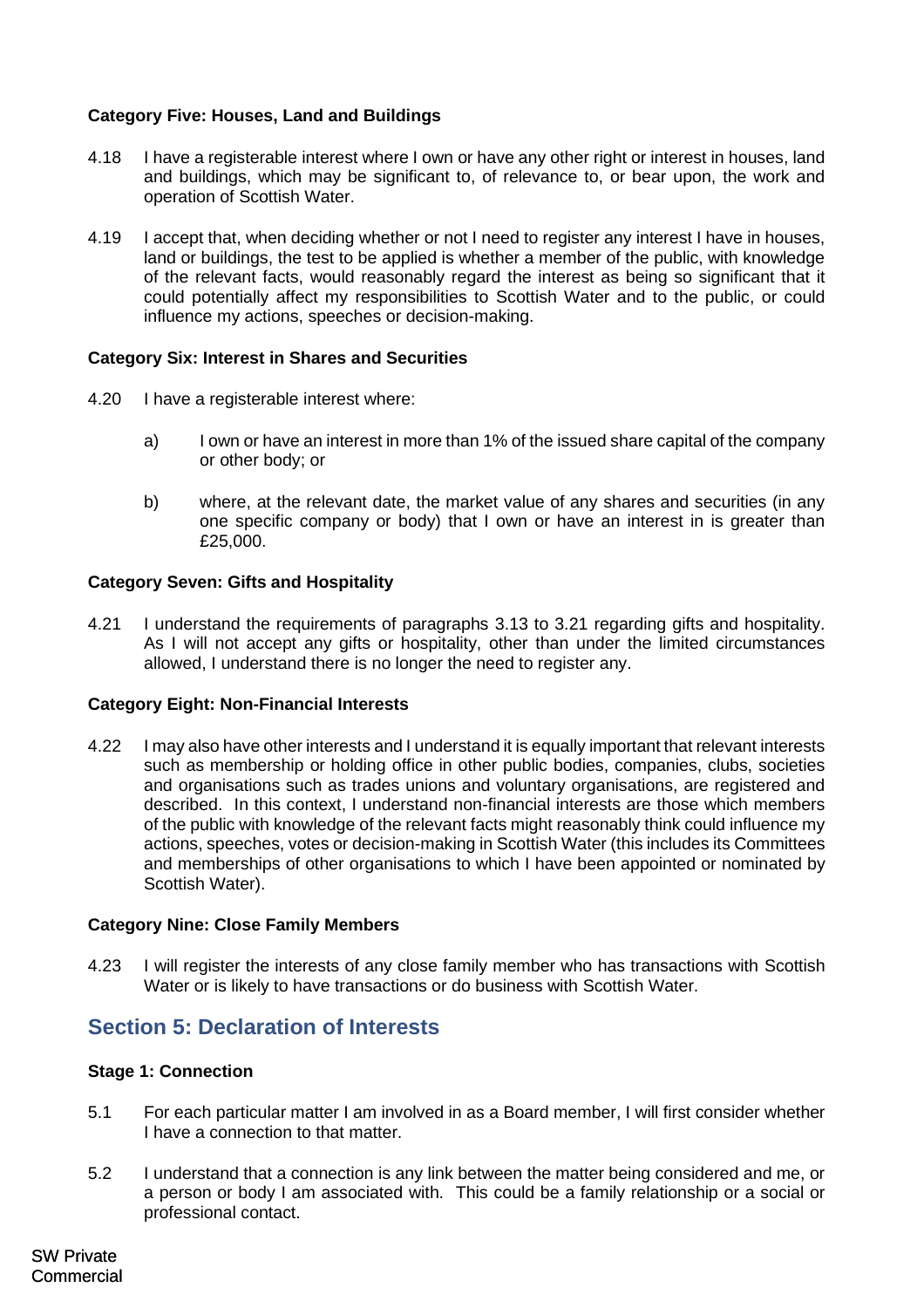# **Category Five: Houses, Land and Buildings**

- 4.18 I have a registerable interest where I own or have any other right or interest in houses, land and buildings, which may be significant to, of relevance to, or bear upon, the work and operation of Scottish Water.
- 4.19 I accept that, when deciding whether or not I need to register any interest I have in houses, land or buildings, the test to be applied is whether a member of the public, with knowledge of the relevant facts, would reasonably regard the interest as being so significant that it could potentially affect my responsibilities to Scottish Water and to the public, or could influence my actions, speeches or decision-making.

## **Category Six: Interest in Shares and Securities**

- 4.20 I have a registerable interest where:
	- a) I own or have an interest in more than 1% of the issued share capital of the company or other body; or
	- b) where, at the relevant date, the market value of any shares and securities (in any one specific company or body) that I own or have an interest in is greater than £25,000.

## **Category Seven: Gifts and Hospitality**

4.21 I understand the requirements of paragraphs 3.13 to 3.21 regarding gifts and hospitality. As I will not accept any gifts or hospitality, other than under the limited circumstances allowed, I understand there is no longer the need to register any.

## **Category Eight: Non-Financial Interests**

4.22 I may also have other interests and I understand it is equally important that relevant interests such as membership or holding office in other public bodies, companies, clubs, societies and organisations such as trades unions and voluntary organisations, are registered and described. In this context, I understand non-financial interests are those which members of the public with knowledge of the relevant facts might reasonably think could influence my actions, speeches, votes or decision-making in Scottish Water (this includes its Committees and memberships of other organisations to which I have been appointed or nominated by Scottish Water).

## **Category Nine: Close Family Members**

4.23 I will register the interests of any close family member who has transactions with Scottish Water or is likely to have transactions or do business with Scottish Water.

# **Section 5: Declaration of Interests**

## **Stage 1: Connection**

- 5.1 For each particular matter I am involved in as a Board member, I will first consider whether I have a connection to that matter.
- 5.2 I understand that a connection is any link between the matter being considered and me, or a person or body I am associated with. This could be a family relationship or a social or professional contact.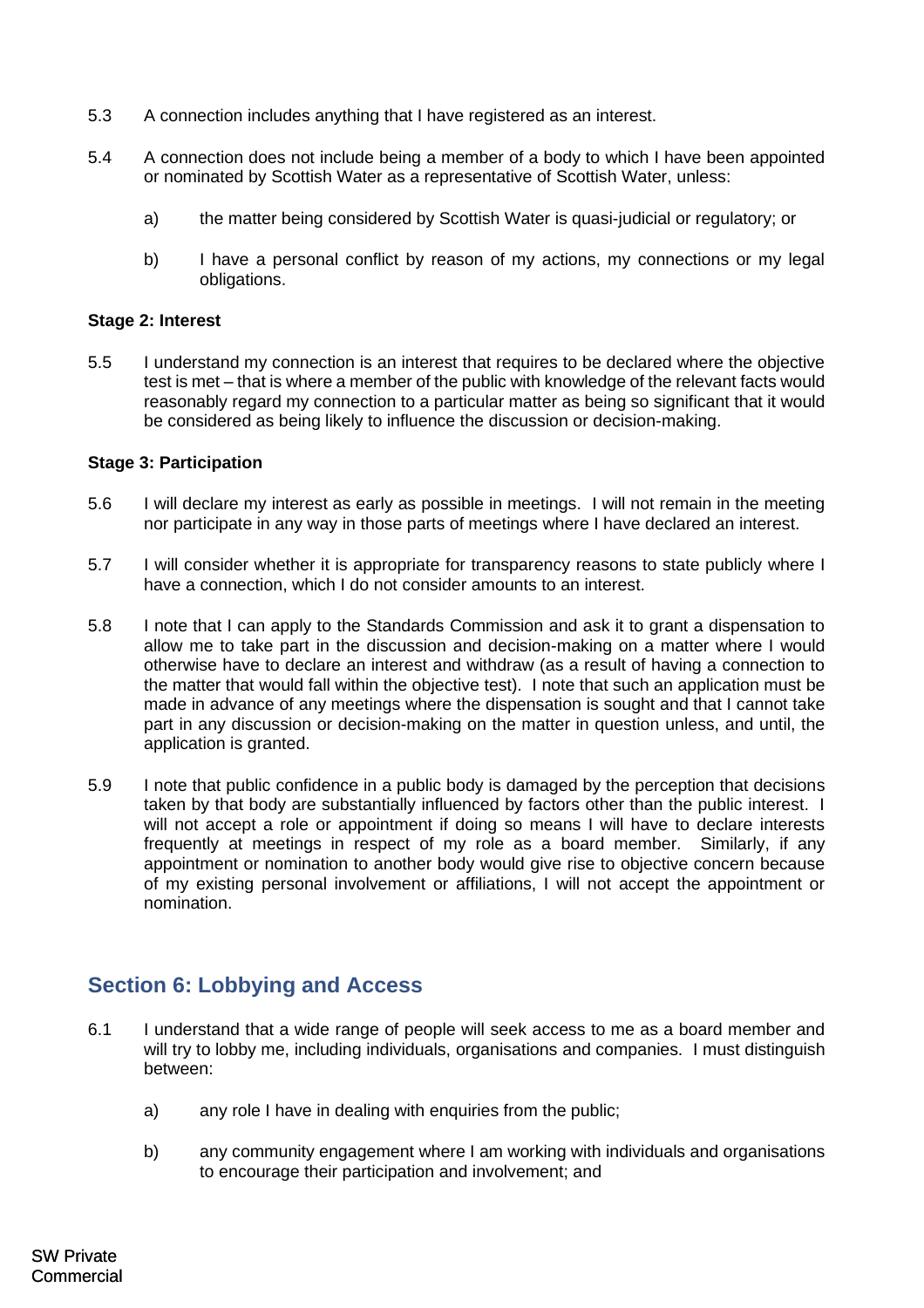- 5.3 A connection includes anything that I have registered as an interest.
- 5.4 A connection does not include being a member of a body to which I have been appointed or nominated by Scottish Water as a representative of Scottish Water, unless:
	- a) the matter being considered by Scottish Water is quasi-judicial or regulatory; or
	- b) I have a personal conflict by reason of my actions, my connections or my legal obligations.

## <span id="page-10-0"></span>**Stage 2: Interest**

5.5 I understand my connection is an interest that requires to be declared where the objective test is met – that is where a member of the public with knowledge of the relevant facts would reasonably regard my connection to a particular matter as being so significant that it would be considered as being likely to influence the discussion or decision-making.

### **Stage 3: Participation**

- 5.6 I will declare my interest as early as possible in meetings. I will not remain in the meeting nor participate in any way in those parts of meetings where I have declared an interest.
- 5.7 I will consider whether it is appropriate for transparency reasons to state publicly where I have a connection, which I do not consider amounts to an interest.
- 5.8 I note that I can apply to the Standards Commission and ask it to grant a dispensation to allow me to take part in the discussion and decision-making on a matter where I would otherwise have to declare an interest and withdraw (as a result of having a connection to the matter that would fall within the objective test). I note that such an application must be made in advance of any meetings where the dispensation is sought and that I cannot take part in any discussion or decision-making on the matter in question unless, and until, the application is granted.
- 5.9 I note that public confidence in a public body is damaged by the perception that decisions taken by that body are substantially influenced by factors other than the public interest. I will not accept a role or appointment if doing so means I will have to declare interests frequently at meetings in respect of my role as a board member. Similarly, if any appointment or nomination to another body would give rise to objective concern because of my existing personal involvement or affiliations, I will not accept the appointment or nomination.

# <span id="page-10-1"></span>**Section 6: Lobbying and Access**

- 6.1 I understand that a wide range of people will seek access to me as a board member and will try to lobby me, including individuals, organisations and companies. I must distinguish between:
	- a) any role I have in dealing with enquiries from the public;
	- b) any community engagement where I am working with individuals and organisations to encourage their participation and involvement; and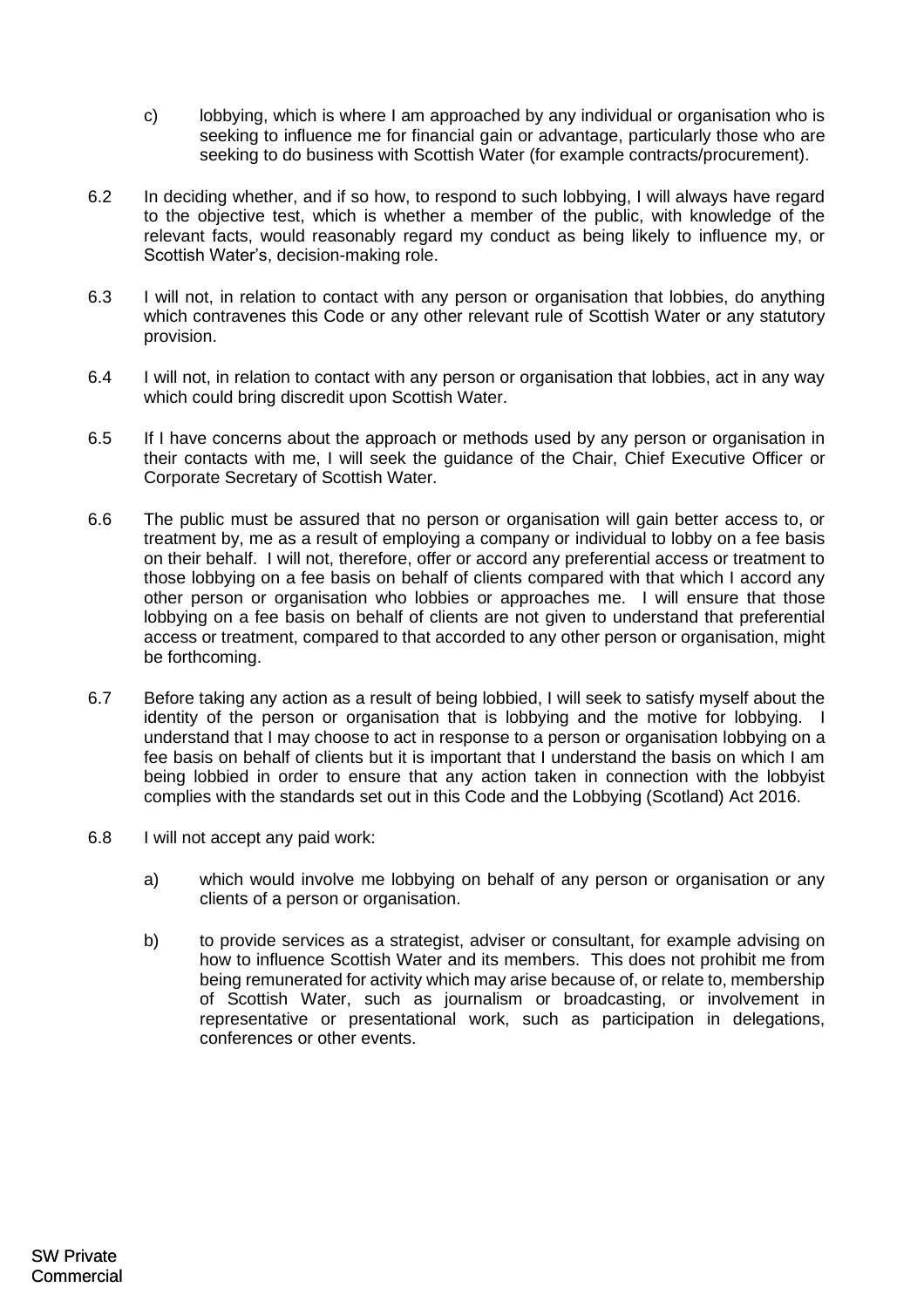- c) lobbying, which is where I am approached by any individual or organisation who is seeking to influence me for financial gain or advantage, particularly those who are seeking to do business with Scottish Water (for example contracts/procurement).
- 6.2 In deciding whether, and if so how, to respond to such lobbying, I will always have regard to the objective test, which is whether a member of the public, with knowledge of the relevant facts, would reasonably regard my conduct as being likely to influence my, or Scottish Water's, decision-making role.
- 6.3 I will not, in relation to contact with any person or organisation that lobbies, do anything which contravenes this Code or any other relevant rule of Scottish Water or any statutory provision.
- 6.4 I will not, in relation to contact with any person or organisation that lobbies, act in any way which could bring discredit upon Scottish Water.
- 6.5 If I have concerns about the approach or methods used by any person or organisation in their contacts with me, I will seek the guidance of the Chair, Chief Executive Officer or Corporate Secretary of Scottish Water.
- 6.6 The public must be assured that no person or organisation will gain better access to, or treatment by, me as a result of employing a company or individual to lobby on a fee basis on their behalf. I will not, therefore, offer or accord any preferential access or treatment to those lobbying on a fee basis on behalf of clients compared with that which I accord any other person or organisation who lobbies or approaches me. I will ensure that those lobbying on a fee basis on behalf of clients are not given to understand that preferential access or treatment, compared to that accorded to any other person or organisation, might be forthcoming.
- 6.7 Before taking any action as a result of being lobbied, I will seek to satisfy myself about the identity of the person or organisation that is lobbying and the motive for lobbying. I understand that I may choose to act in response to a person or organisation lobbying on a fee basis on behalf of clients but it is important that I understand the basis on which I am being lobbied in order to ensure that any action taken in connection with the lobbyist complies with the standards set out in this Code and the Lobbying (Scotland) Act 2016.
- 6.8 I will not accept any paid work:
	- a) which would involve me lobbying on behalf of any person or organisation or any clients of a person or organisation.
	- b) to provide services as a strategist, adviser or consultant, for example advising on how to influence Scottish Water and its members. This does not prohibit me from being remunerated for activity which may arise because of, or relate to, membership of Scottish Water, such as journalism or broadcasting, or involvement in representative or presentational work, such as participation in delegations, conferences or other events.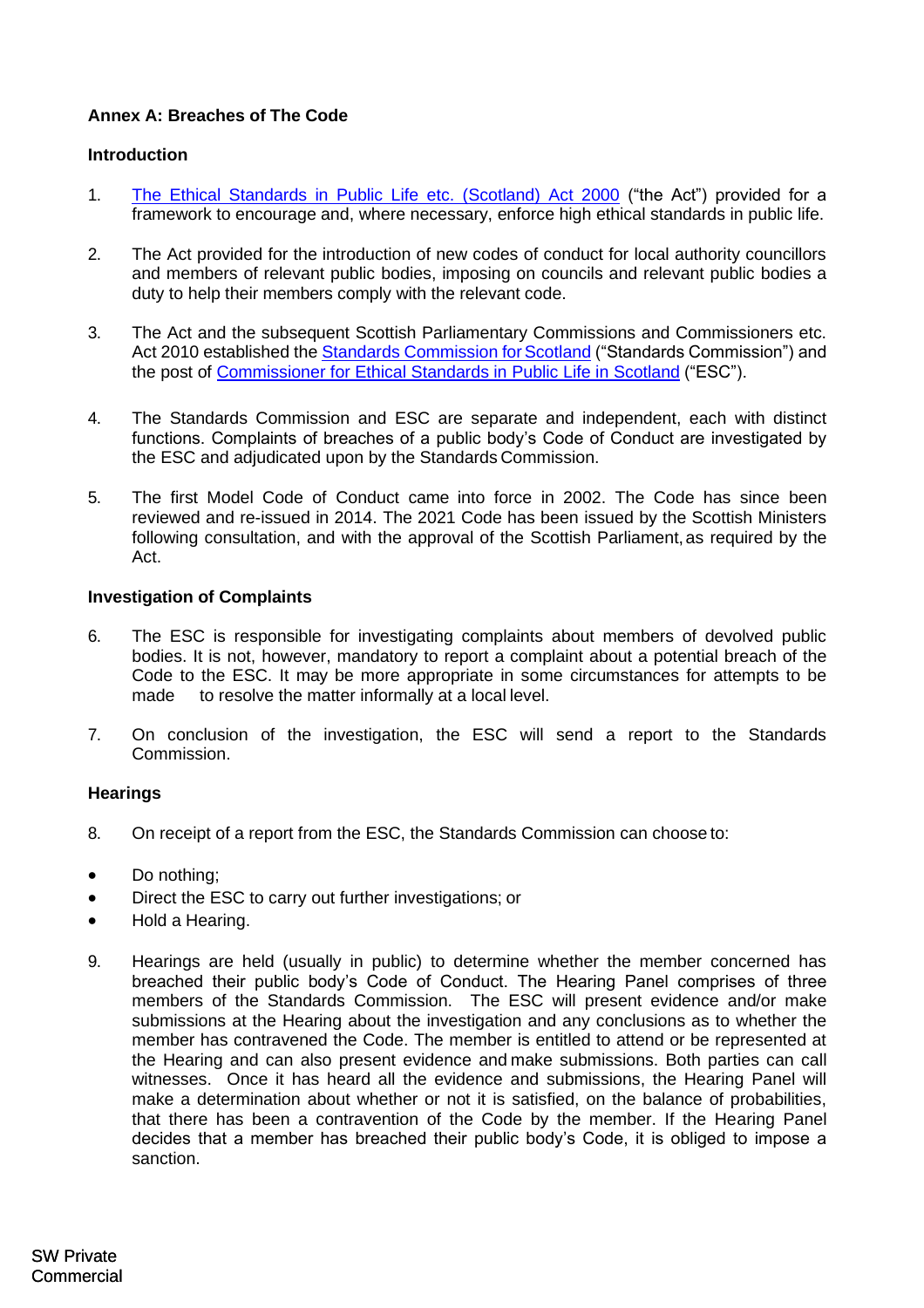# **Annex A: Breaches of The Code**

## **Introduction**

- 1. [The Ethical Standards in Public Life etc. \(Scotland\) Act 2000](http://www.legislation.gov.uk/asp/2000/7/contents) ("the Act") provided for a framework to encourage and, where necessary, enforce high ethical standards in public life.
- 2. The Act provided for the introduction of new codes of conduct for local authority councillors and members of relevant public bodies, imposing on councils and relevant public bodies a duty to help their members comply with the relevant code.
- 3. The Act and the subsequent Scottish Parliamentary Commissions and Commissioners etc. Act 2010 established the Standards Commission for Scotland ("Standards Commission") and the post of [Commissioner for Ethical Standards in](https://www.ethicalstandards.org.uk/) [Public Life in Scotland](https://www.ethicalstandards.org.uk/) ("ESC").
- 4. The Standards Commission and ESC are separate and independent, each with distinct functions. Complaints of breaches of a public body's Code of Conduct are investigated by the ESC and adjudicated upon by the Standards Commission.
- 5. The first Model Code of Conduct came into force in 2002. The Code has since been reviewed and re-issued in 2014. The 2021 Code has been issued by the Scottish Ministers following consultation, and with the approval of the Scottish Parliament, as required by the Act.

## **Investigation of Complaints**

- 6. The ESC is responsible for investigating complaints about members of devolved public bodies. It is not, however, mandatory to report a complaint about a potential breach of the Code to the ESC. It may be more appropriate in some circumstances for attempts to be made to resolve the matter informally at a local level.
- 7. On conclusion of the investigation, the ESC will send a report to the Standards Commission.

### **Hearings**

- 8. On receipt of a report from the ESC, the Standards Commission can choose to:
- Do nothing;
- Direct the ESC to carry out further investigations; or
- Hold a Hearing.
- 9. Hearings are held (usually in public) to determine whether the member concerned has breached their public body's Code of Conduct. The Hearing Panel comprises of three members of the Standards Commission. The ESC will present evidence and/or make submissions at the Hearing about the investigation and any conclusions as to whether the member has contravened the Code. The member is entitled to attend or be represented at the Hearing and can also present evidence and make submissions. Both parties can call witnesses. Once it has heard all the evidence and submissions, the Hearing Panel will make a determination about whether or not it is satisfied, on the balance of probabilities, that there has been a contravention of the Code by the member. If the Hearing Panel decides that a member has breached their public body's Code, it is obliged to impose a sanction.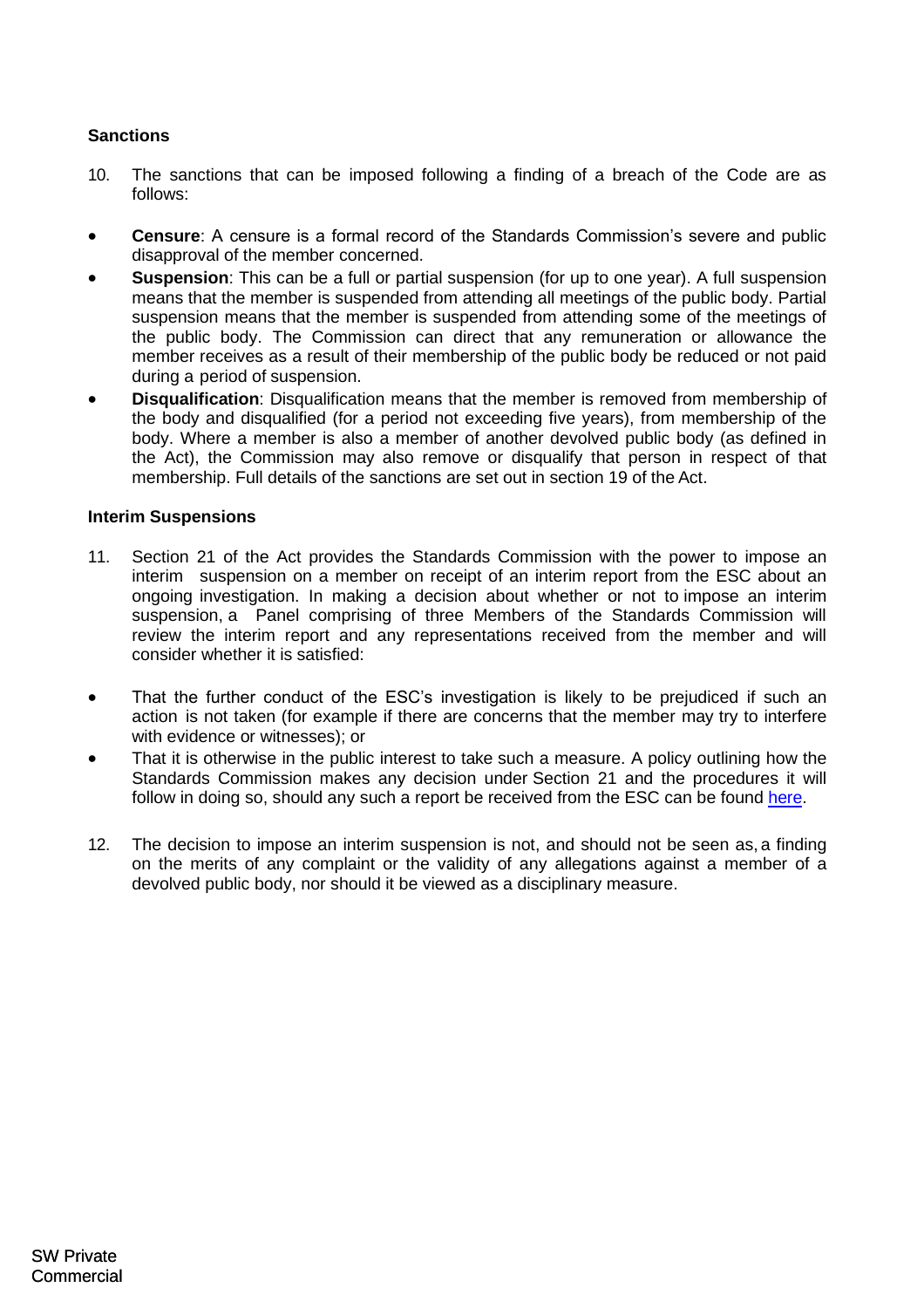# **Sanctions**

- 10. The sanctions that can be imposed following a finding of a breach of the Code are as follows:
- **Censure**: A censure is a formal record of the Standards Commission's severe and public disapproval of the member concerned.
- **Suspension**: This can be a full or partial suspension (for up to one year). A full suspension means that the member is suspended from attending all meetings of the public body. Partial suspension means that the member is suspended from attending some of the meetings of the public body. The Commission can direct that any remuneration or allowance the member receives as a result of their membership of the public body be reduced or not paid during a period of suspension.
- **Disqualification**: Disqualification means that the member is removed from membership of the body and disqualified (for a period not exceeding five years), from membership of the body. Where a member is also a member of another devolved public body (as defined in the Act), the Commission may also remove or disqualify that person in respect of that membership. Full details of the sanctions are set out in section 19 of the Act.

## **Interim Suspensions**

- 11. Section 21 of the Act provides the Standards Commission with the power to impose an interim suspension on a member on receipt of an interim report from the ESC about an ongoing investigation. In making a decision about whether or not to impose an interim suspension, a Panel comprising of three Members of the Standards Commission will review the interim report and any representations received from the member and will consider whether it is satisfied:
- That the further conduct of the ESC's investigation is likely to be prejudiced if such an action is not taken (for example if there are concerns that the member may try to interfere with evidence or witnesses); or
- That it is otherwise in the public interest to take such a measure. A policy outlining how the Standards Commission makes any decision under Section 21 and the procedures it will follow in doing so, should any such a report be received from the ESC can be found [here.](https://www.standardscommissionscotland.org.uk/cases)
- 12. The decision to impose an interim suspension is not, and should not be seen as, a finding on the merits of any complaint or the validity of any allegations against a member of a devolved public body, nor should it be viewed as a disciplinary measure.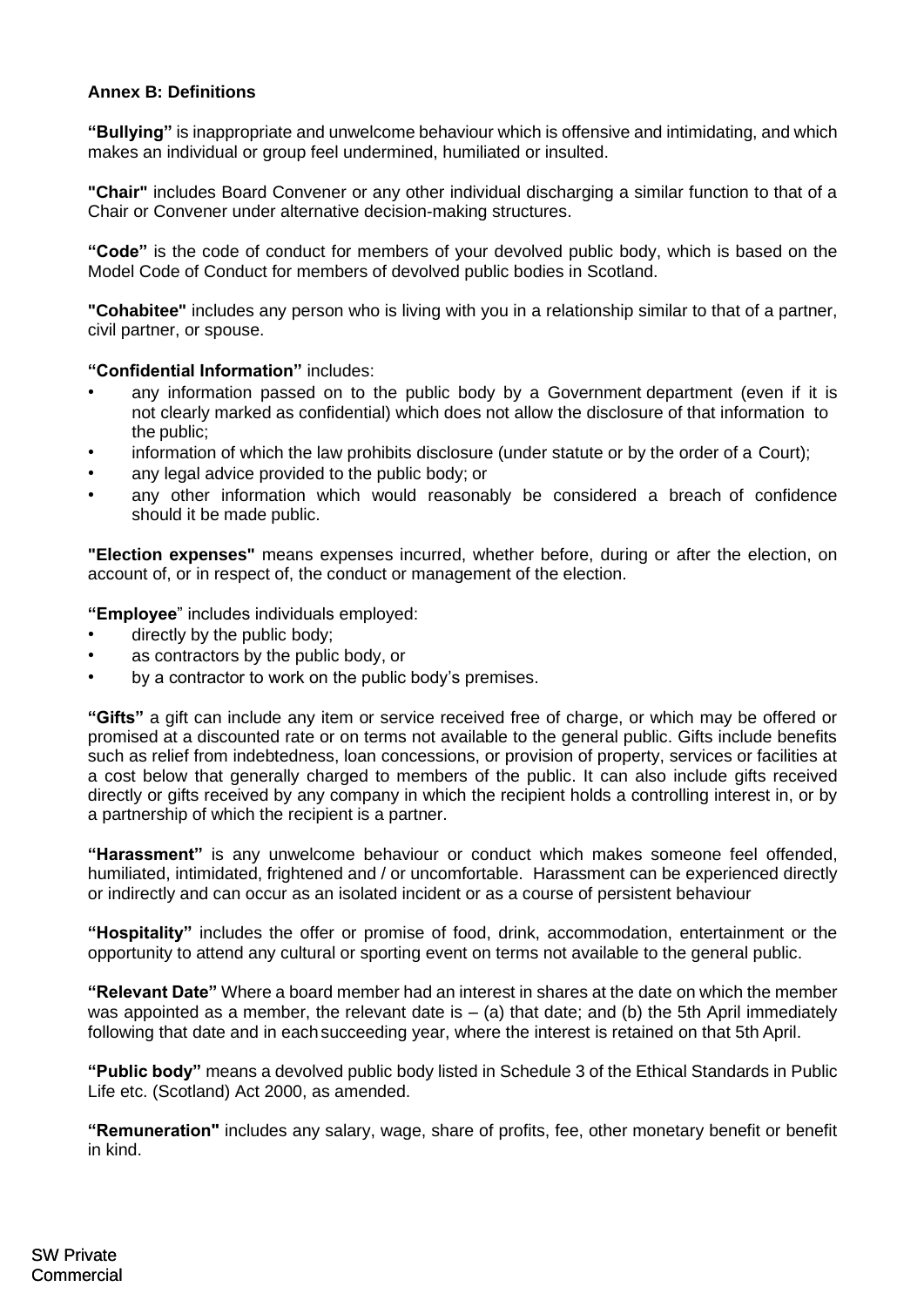## <span id="page-14-0"></span>**Annex B: Definitions**

**"Bullying"** is inappropriate and unwelcome behaviour which is offensive and intimidating, and which makes an individual or group feel undermined, humiliated or insulted.

**"Chair"** includes Board Convener or any other individual discharging a similar function to that of a Chair or Convener under alternative decision-making structures.

**"Code"** is the code of conduct for members of your devolved public body, which is based on the Model Code of Conduct for members of devolved public bodies in Scotland.

**"Cohabitee"** includes any person who is living with you in a relationship similar to that of a partner, civil partner, or spouse.

## **"Confidential Information"** includes:

- any information passed on to the public body by a Government department (even if it is not clearly marked as confidential) which does not allow the disclosure of that information to the public;
- information of which the law prohibits disclosure (under statute or by the order of a Court);
- any legal advice provided to the public body; or
- any other information which would reasonably be considered a breach of confidence should it be made public.

**"Election expenses"** means expenses incurred, whether before, during or after the election, on account of, or in respect of, the conduct or management of the election.

**"Employee**" includes individuals employed:

- directly by the public body;
- as contractors by the public body, or
- by a contractor to work on the public body's premises.

**"Gifts"** a gift can include any item or service received free of charge, or which may be offered or promised at a discounted rate or on terms not available to the general public. Gifts include benefits such as relief from indebtedness, loan concessions, or provision of property, services or facilities at a cost below that generally charged to members of the public. It can also include gifts received directly or gifts received by any company in which the recipient holds a controlling interest in, or by a partnership of which the recipient is a partner.

**"Harassment"** is any unwelcome behaviour or conduct which makes someone feel offended, humiliated, intimidated, frightened and / or uncomfortable. Harassment can be experienced directly or indirectly and can occur as an isolated incident or as a course of persistent behaviour

**"Hospitality"** includes the offer or promise of food, drink, accommodation, entertainment or the opportunity to attend any cultural or sporting event on terms not available to the general public.

**"Relevant Date"** Where a board member had an interest in shares at the date on which the member was appointed as a member, the relevant date is  $-$  (a) that date; and (b) the 5th April immediately following that date and in eachsucceeding year, where the interest is retained on that 5th April.

**"Public body"** means a devolved public body listed in Schedule 3 of the Ethical Standards in Public Life etc. (Scotland) Act 2000, as amended.

**"Remuneration"** includes any salary, wage, share of profits, fee, other monetary benefit or benefit in kind.